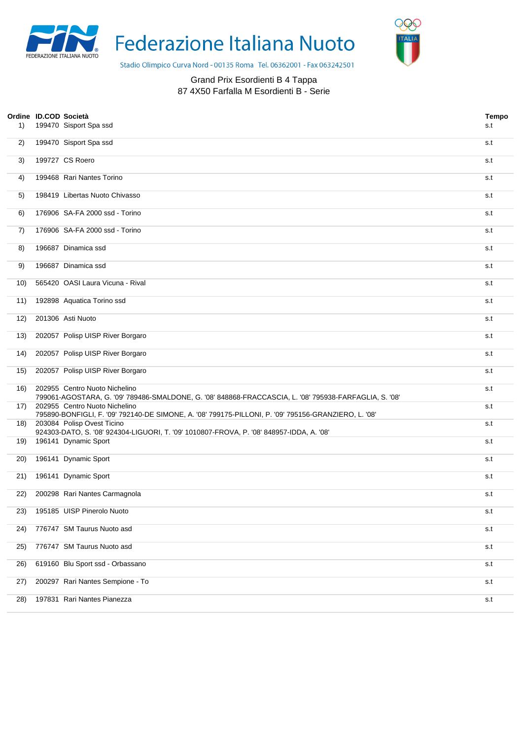

Federazione Italiana Nuoto



Stadio Olimpico Curva Nord - 00135 Roma Tel. 06362001 - Fax 063242501

## Grand Prix Esordienti B 4 Tappa 87 4X50 Farfalla M Esordienti B - Serie

| 1)  | Ordine ID.COD Società | 199470 Sisport Spa ssd                                                                                                                  | <b>Tempo</b><br>s.t |
|-----|-----------------------|-----------------------------------------------------------------------------------------------------------------------------------------|---------------------|
| 2)  |                       | 199470 Sisport Spa ssd                                                                                                                  | s.t                 |
| 3)  |                       | 199727 CS Roero                                                                                                                         | s.t                 |
| 4)  |                       | 199468 Rari Nantes Torino                                                                                                               | s.t                 |
| 5)  |                       | 198419 Libertas Nuoto Chivasso                                                                                                          | s.t                 |
| 6)  |                       | 176906 SA-FA 2000 ssd - Torino                                                                                                          | s.t                 |
| 7)  |                       | 176906 SA-FA 2000 ssd - Torino                                                                                                          | s.t                 |
| 8)  |                       | 196687 Dinamica ssd                                                                                                                     | s.t                 |
| 9)  |                       | 196687 Dinamica ssd                                                                                                                     | s.t                 |
| 10) |                       | 565420 OASI Laura Vicuna - Rival                                                                                                        | s.t                 |
| 11) |                       | 192898 Aquatica Torino ssd                                                                                                              | s.t                 |
| 12) |                       | 201306 Asti Nuoto                                                                                                                       | s.t                 |
| 13) |                       | 202057 Polisp UISP River Borgaro                                                                                                        | s.t                 |
| 14) |                       | 202057 Polisp UISP River Borgaro                                                                                                        | s.t                 |
| 15) |                       | 202057 Polisp UISP River Borgaro                                                                                                        | s.t                 |
| 16) |                       | 202955 Centro Nuoto Nichelino<br>799061-AGOSTARA, G. '09' 789486-SMALDONE, G. '08' 848868-FRACCASCIA, L. '08' 795938-FARFAGLIA, S. '08' | s.t                 |
| 17) |                       | 202955 Centro Nuoto Nichelino<br>795890-BONFIGLI, F. '09' 792140-DE SIMONE, A. '08' 799175-PILLONI, P. '09' 795156-GRANZIERO, L. '08'   | s.t                 |
| 18) |                       | 203084 Polisp Ovest Ticino<br>924303-DATO, S. '08' 924304-LIGUORI, T. '09' 1010807-FROVA, P. '08' 848957-IDDA, A. '08'                  | s.t                 |
| 19) |                       | 196141 Dynamic Sport                                                                                                                    | s.t                 |
| 20) |                       | 196141 Dynamic Sport                                                                                                                    | s.t                 |
| 21) |                       | 196141 Dynamic Sport                                                                                                                    | s.t                 |
| 22) |                       | 200298 Rari Nantes Carmagnola                                                                                                           | s.t                 |
| 23) |                       | 195185 UISP Pinerolo Nuoto                                                                                                              | s.t                 |
| 24) |                       | 776747 SM Taurus Nuoto asd                                                                                                              | s.t                 |
| 25) |                       | 776747 SM Taurus Nuoto asd                                                                                                              | s.t                 |
| 26) |                       | 619160 Blu Sport ssd - Orbassano                                                                                                        | s.t                 |
| 27) |                       | 200297 Rari Nantes Sempione - To                                                                                                        | s.t                 |
| 28) |                       | 197831 Rari Nantes Pianezza                                                                                                             | s.t                 |